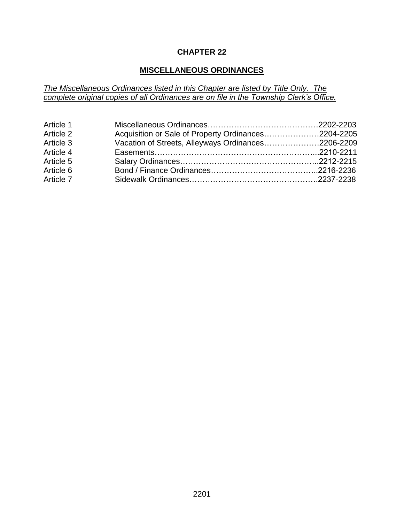## **CHAPTER 22**

# **MISCELLANEOUS ORDINANCES**

*The Miscellaneous Ordinances listed in this Chapter are listed by Title Only. The complete original copies of all Ordinances are on file in the Township Clerk's Office.*

| Article 1 |                                                     |  |
|-----------|-----------------------------------------------------|--|
| Article 2 | Acquisition or Sale of Property Ordinances2204-2205 |  |
| Article 3 | Vacation of Streets, Alleyways Ordinances2206-2209  |  |
| Article 4 |                                                     |  |
| Article 5 |                                                     |  |
| Article 6 |                                                     |  |
| Article 7 |                                                     |  |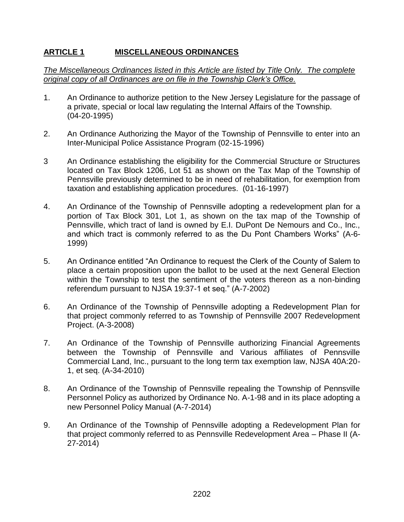# **ARTICLE 1 MISCELLANEOUS ORDINANCES**

*The Miscellaneous Ordinances listed in this Article are listed by Title Only. The complete original copy of all Ordinances are on file in the Township Clerk's Office.*

- 1. An Ordinance to authorize petition to the New Jersey Legislature for the passage of a private, special or local law regulating the Internal Affairs of the Township. (04-20-1995)
- 2. An Ordinance Authorizing the Mayor of the Township of Pennsville to enter into an Inter-Municipal Police Assistance Program (02-15-1996)
- 3 An Ordinance establishing the eligibility for the Commercial Structure or Structures located on Tax Block 1206, Lot 51 as shown on the Tax Map of the Township of Pennsville previously determined to be in need of rehabilitation, for exemption from taxation and establishing application procedures. (01-16-1997)
- 4. An Ordinance of the Township of Pennsville adopting a redevelopment plan for a portion of Tax Block 301, Lot 1, as shown on the tax map of the Township of Pennsville, which tract of land is owned by E.I. DuPont De Nemours and Co., Inc., and which tract is commonly referred to as the Du Pont Chambers Works" (A-6- 1999)
- 5. An Ordinance entitled "An Ordinance to request the Clerk of the County of Salem to place a certain proposition upon the ballot to be used at the next General Election within the Township to test the sentiment of the voters thereon as a non-binding referendum pursuant to NJSA 19:37-1 et seq." (A-7-2002)
- 6. An Ordinance of the Township of Pennsville adopting a Redevelopment Plan for that project commonly referred to as Township of Pennsville 2007 Redevelopment Project. (A-3-2008)
- 7. An Ordinance of the Township of Pennsville authorizing Financial Agreements between the Township of Pennsville and Various affiliates of Pennsville Commercial Land, Inc., pursuant to the long term tax exemption law, NJSA 40A:20- 1, et seq. (A-34-2010)
- 8. An Ordinance of the Township of Pennsville repealing the Township of Pennsville Personnel Policy as authorized by Ordinance No. A-1-98 and in its place adopting a new Personnel Policy Manual (A-7-2014)
- 9. An Ordinance of the Township of Pennsville adopting a Redevelopment Plan for that project commonly referred to as Pennsville Redevelopment Area – Phase II (A-27-2014)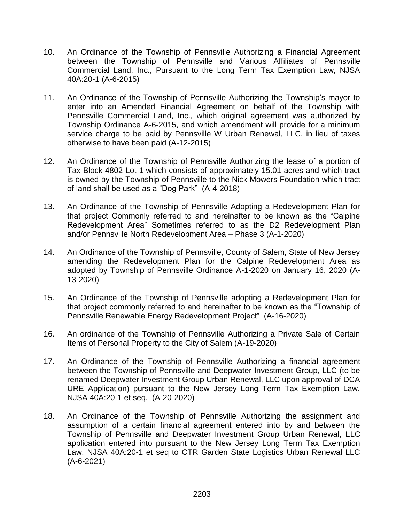- 10. An Ordinance of the Township of Pennsville Authorizing a Financial Agreement between the Township of Pennsville and Various Affiliates of Pennsville Commercial Land, Inc., Pursuant to the Long Term Tax Exemption Law, NJSA 40A:20-1 (A-6-2015)
- 11. An Ordinance of the Township of Pennsville Authorizing the Township's mayor to enter into an Amended Financial Agreement on behalf of the Township with Pennsville Commercial Land, Inc., which original agreement was authorized by Township Ordinance A-6-2015, and which amendment will provide for a minimum service charge to be paid by Pennsville W Urban Renewal, LLC, in lieu of taxes otherwise to have been paid (A-12-2015)
- 12. An Ordinance of the Township of Pennsville Authorizing the lease of a portion of Tax Block 4802 Lot 1 which consists of approximately 15.01 acres and which tract is owned by the Township of Pennsville to the Nick Mowers Foundation which tract of land shall be used as a "Dog Park" (A-4-2018)
- 13. An Ordinance of the Township of Pennsville Adopting a Redevelopment Plan for that project Commonly referred to and hereinafter to be known as the "Calpine Redevelopment Area" Sometimes referred to as the D2 Redevelopment Plan and/or Pennsville North Redevelopment Area – Phase 3 (A-1-2020)
- 14. An Ordinance of the Township of Pennsville, County of Salem, State of New Jersey amending the Redevelopment Plan for the Calpine Redevelopment Area as adopted by Township of Pennsville Ordinance A-1-2020 on January 16, 2020 (A-13-2020)
- 15. An Ordinance of the Township of Pennsville adopting a Redevelopment Plan for that project commonly referred to and hereinafter to be known as the "Township of Pennsville Renewable Energy Redevelopment Project" (A-16-2020)
- 16. An ordinance of the Township of Pennsville Authorizing a Private Sale of Certain Items of Personal Property to the City of Salem (A-19-2020)
- 17. An Ordinance of the Township of Pennsville Authorizing a financial agreement between the Township of Pennsville and Deepwater Investment Group, LLC (to be renamed Deepwater Investment Group Urban Renewal, LLC upon approval of DCA URE Application) pursuant to the New Jersey Long Term Tax Exemption Law, NJSA 40A:20-1 et seq. (A-20-2020)
- 18. An Ordinance of the Township of Pennsville Authorizing the assignment and assumption of a certain financial agreement entered into by and between the Township of Pennsville and Deepwater Investment Group Urban Renewal, LLC application entered into pursuant to the New Jersey Long Term Tax Exemption Law, NJSA 40A:20-1 et seq to CTR Garden State Logistics Urban Renewal LLC (A-6-2021)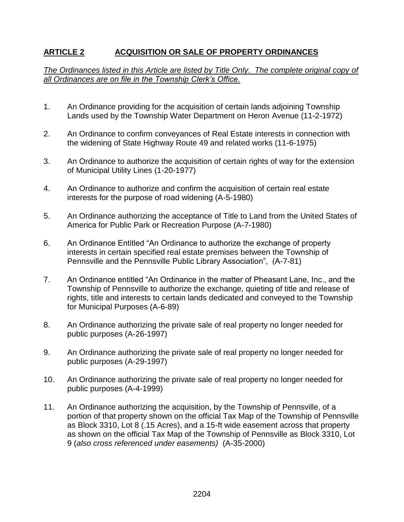# **ARTICLE 2 ACQUISITION OR SALE OF PROPERTY ORDINANCES**

### *The Ordinances listed in this Article are listed by Title Only. The complete original copy of all Ordinances are on file in the Township Clerk's Office.*

- 1. An Ordinance providing for the acquisition of certain lands adjoining Township Lands used by the Township Water Department on Heron Avenue (11-2-1972)
- 2. An Ordinance to confirm conveyances of Real Estate interests in connection with the widening of State Highway Route 49 and related works (11-6-1975)
- 3. An Ordinance to authorize the acquisition of certain rights of way for the extension of Municipal Utility Lines (1-20-1977)
- 4. An Ordinance to authorize and confirm the acquisition of certain real estate interests for the purpose of road widening (A-5-1980)
- 5. An Ordinance authorizing the acceptance of Title to Land from the United States of America for Public Park or Recreation Purpose (A-7-1980)
- 6. An Ordinance Entitled "An Ordinance to authorize the exchange of property interests in certain specified real estate premises between the Township of Pennsville and the Pennsville Public Library Association", (A-7-81)
- 7. An Ordinance entitled "An Ordinance in the matter of Pheasant Lane, Inc., and the Township of Pennsville to authorize the exchange, quieting of title and release of rights, title and interests to certain lands dedicated and conveyed to the Township for Municipal Purposes (A-6-89)
- 8. An Ordinance authorizing the private sale of real property no longer needed for public purposes (A-26-1997)
- 9. An Ordinance authorizing the private sale of real property no longer needed for public purposes (A-29-1997)
- 10. An Ordinance authorizing the private sale of real property no longer needed for public purposes (A-4-1999)
- 11. An Ordinance authorizing the acquisition, by the Township of Pennsville, of a portion of that property shown on the official Tax Map of the Township of Pennsville as Block 3310, Lot 8 (.15 Acres), and a 15-ft wide easement across that property as shown on the official Tax Map of the Township of Pennsville as Block 3310, Lot 9 (*also cross referenced under easements)* (A-35-2000)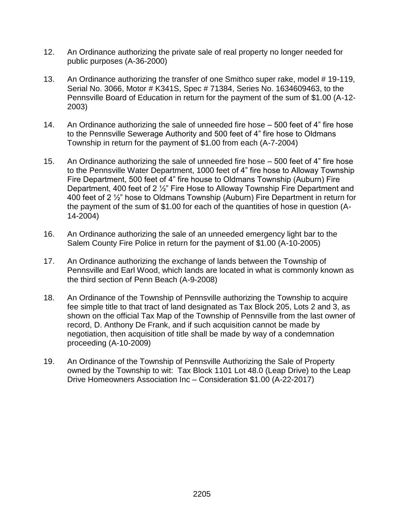- 12. An Ordinance authorizing the private sale of real property no longer needed for public purposes (A-36-2000)
- 13. An Ordinance authorizing the transfer of one Smithco super rake, model # 19-119, Serial No. 3066, Motor # K341S, Spec # 71384, Series No. 1634609463, to the Pennsville Board of Education in return for the payment of the sum of \$1.00 (A-12- 2003)
- 14. An Ordinance authorizing the sale of unneeded fire hose 500 feet of 4" fire hose to the Pennsville Sewerage Authority and 500 feet of 4" fire hose to Oldmans Township in return for the payment of \$1.00 from each (A-7-2004)
- 15. An Ordinance authorizing the sale of unneeded fire hose 500 feet of 4" fire hose to the Pennsville Water Department, 1000 feet of 4" fire hose to Alloway Township Fire Department, 500 feet of 4" fire house to Oldmans Township (Auburn) Fire Department, 400 feet of 2 ½" Fire Hose to Alloway Township Fire Department and 400 feet of 2 ½" hose to Oldmans Township (Auburn) Fire Department in return for the payment of the sum of \$1.00 for each of the quantities of hose in question (A-14-2004)
- 16. An Ordinance authorizing the sale of an unneeded emergency light bar to the Salem County Fire Police in return for the payment of \$1.00 (A-10-2005)
- 17. An Ordinance authorizing the exchange of lands between the Township of Pennsville and Earl Wood, which lands are located in what is commonly known as the third section of Penn Beach (A-9-2008)
- 18. An Ordinance of the Township of Pennsville authorizing the Township to acquire fee simple title to that tract of land designated as Tax Block 205, Lots 2 and 3, as shown on the official Tax Map of the Township of Pennsville from the last owner of record, D. Anthony De Frank, and if such acquisition cannot be made by negotiation, then acquisition of title shall be made by way of a condemnation proceeding (A-10-2009)
- 19. An Ordinance of the Township of Pennsville Authorizing the Sale of Property owned by the Township to wit: Tax Block 1101 Lot 48.0 (Leap Drive) to the Leap Drive Homeowners Association Inc – Consideration \$1.00 (A-22-2017)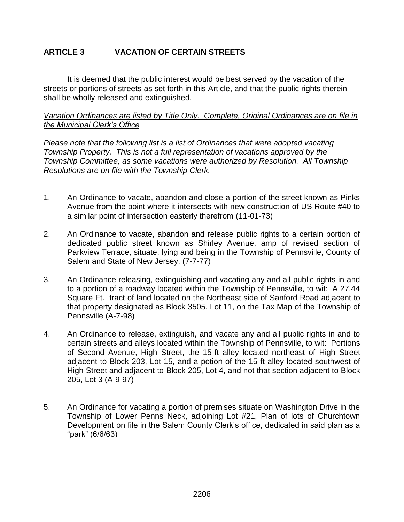# **ARTICLE 3 VACATION OF CERTAIN STREETS**

It is deemed that the public interest would be best served by the vacation of the streets or portions of streets as set forth in this Article, and that the public rights therein shall be wholly released and extinguished.

*Vacation Ordinances are listed by Title Only. Complete, Original Ordinances are on file in the Municipal Clerk's Office*

*Please note that the following list is a list of Ordinances that were adopted vacating Township Property. This is not a full representation of vacations approved by the Township Committee, as some vacations were authorized by Resolution. All Township Resolutions are on file with the Township Clerk.*

- 1. An Ordinance to vacate, abandon and close a portion of the street known as Pinks Avenue from the point where it intersects with new construction of US Route #40 to a similar point of intersection easterly therefrom (11-01-73)
- 2. An Ordinance to vacate, abandon and release public rights to a certain portion of dedicated public street known as Shirley Avenue, amp of revised section of Parkview Terrace, situate, lying and being in the Township of Pennsville, County of Salem and State of New Jersey. (7-7-77)
- 3. An Ordinance releasing, extinguishing and vacating any and all public rights in and to a portion of a roadway located within the Township of Pennsville, to wit: A 27.44 Square Ft. tract of land located on the Northeast side of Sanford Road adjacent to that property designated as Block 3505, Lot 11, on the Tax Map of the Township of Pennsville (A-7-98)
- 4. An Ordinance to release, extinguish, and vacate any and all public rights in and to certain streets and alleys located within the Township of Pennsville, to wit: Portions of Second Avenue, High Street, the 15-ft alley located northeast of High Street adjacent to Block 203, Lot 15, and a potion of the 15-ft alley located southwest of High Street and adjacent to Block 205, Lot 4, and not that section adjacent to Block 205, Lot 3 (A-9-97)
- 5. An Ordinance for vacating a portion of premises situate on Washington Drive in the Township of Lower Penns Neck, adjoining Lot #21, Plan of lots of Churchtown Development on file in the Salem County Clerk's office, dedicated in said plan as a "park" (6/6/63)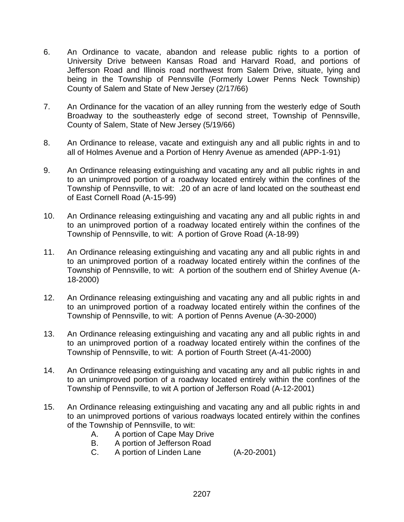- 6. An Ordinance to vacate, abandon and release public rights to a portion of University Drive between Kansas Road and Harvard Road, and portions of Jefferson Road and Illinois road northwest from Salem Drive, situate, lying and being in the Township of Pennsville (Formerly Lower Penns Neck Township) County of Salem and State of New Jersey (2/17/66)
- 7. An Ordinance for the vacation of an alley running from the westerly edge of South Broadway to the southeasterly edge of second street, Township of Pennsville, County of Salem, State of New Jersey (5/19/66)
- 8. An Ordinance to release, vacate and extinguish any and all public rights in and to all of Holmes Avenue and a Portion of Henry Avenue as amended (APP-1-91)
- 9. An Ordinance releasing extinguishing and vacating any and all public rights in and to an unimproved portion of a roadway located entirely within the confines of the Township of Pennsville, to wit: .20 of an acre of land located on the southeast end of East Cornell Road (A-15-99)
- 10. An Ordinance releasing extinguishing and vacating any and all public rights in and to an unimproved portion of a roadway located entirely within the confines of the Township of Pennsville, to wit: A portion of Grove Road (A-18-99)
- 11. An Ordinance releasing extinguishing and vacating any and all public rights in and to an unimproved portion of a roadway located entirely within the confines of the Township of Pennsville, to wit: A portion of the southern end of Shirley Avenue (A-18-2000)
- 12. An Ordinance releasing extinguishing and vacating any and all public rights in and to an unimproved portion of a roadway located entirely within the confines of the Township of Pennsville, to wit: A portion of Penns Avenue (A-30-2000)
- 13. An Ordinance releasing extinguishing and vacating any and all public rights in and to an unimproved portion of a roadway located entirely within the confines of the Township of Pennsville, to wit: A portion of Fourth Street (A-41-2000)
- 14. An Ordinance releasing extinguishing and vacating any and all public rights in and to an unimproved portion of a roadway located entirely within the confines of the Township of Pennsville, to wit A portion of Jefferson Road (A-12-2001)
- 15. An Ordinance releasing extinguishing and vacating any and all public rights in and to an unimproved portions of various roadways located entirely within the confines of the Township of Pennsville, to wit:
	- A. A portion of Cape May Drive
	- B. A portion of Jefferson Road
	- C. A portion of Linden Lane (A-20-2001)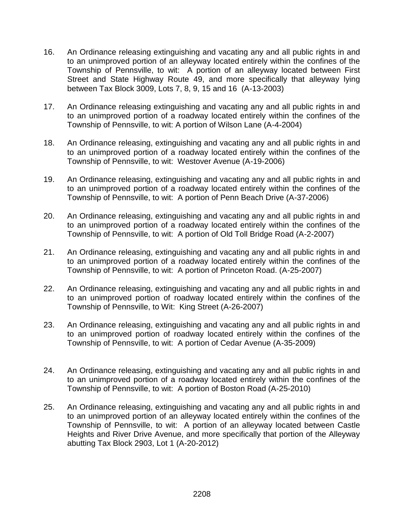- 16. An Ordinance releasing extinguishing and vacating any and all public rights in and to an unimproved portion of an alleyway located entirely within the confines of the Township of Pennsville, to wit: A portion of an alleyway located between First Street and State Highway Route 49, and more specifically that alleyway lying between Tax Block 3009, Lots 7, 8, 9, 15 and 16 (A-13-2003)
- 17. An Ordinance releasing extinguishing and vacating any and all public rights in and to an unimproved portion of a roadway located entirely within the confines of the Township of Pennsville, to wit: A portion of Wilson Lane (A-4-2004)
- 18. An Ordinance releasing, extinguishing and vacating any and all public rights in and to an unimproved portion of a roadway located entirely within the confines of the Township of Pennsville, to wit: Westover Avenue (A-19-2006)
- 19. An Ordinance releasing, extinguishing and vacating any and all public rights in and to an unimproved portion of a roadway located entirely within the confines of the Township of Pennsville, to wit: A portion of Penn Beach Drive (A-37-2006)
- 20. An Ordinance releasing, extinguishing and vacating any and all public rights in and to an unimproved portion of a roadway located entirely within the confines of the Township of Pennsville, to wit: A portion of Old Toll Bridge Road (A-2-2007)
- 21. An Ordinance releasing, extinguishing and vacating any and all public rights in and to an unimproved portion of a roadway located entirely within the confines of the Township of Pennsville, to wit: A portion of Princeton Road. (A-25-2007)
- 22. An Ordinance releasing, extinguishing and vacating any and all public rights in and to an unimproved portion of roadway located entirely within the confines of the Township of Pennsville, to Wit: King Street (A-26-2007)
- 23. An Ordinance releasing, extinguishing and vacating any and all public rights in and to an unimproved portion of roadway located entirely within the confines of the Township of Pennsville, to wit: A portion of Cedar Avenue (A-35-2009)
- 24. An Ordinance releasing, extinguishing and vacating any and all public rights in and to an unimproved portion of a roadway located entirely within the confines of the Township of Pennsville, to wit: A portion of Boston Road (A-25-2010)
- 25. An Ordinance releasing, extinguishing and vacating any and all public rights in and to an unimproved portion of an alleyway located entirely within the confines of the Township of Pennsville, to wit: A portion of an alleyway located between Castle Heights and River Drive Avenue, and more specifically that portion of the Alleyway abutting Tax Block 2903, Lot 1 (A-20-2012)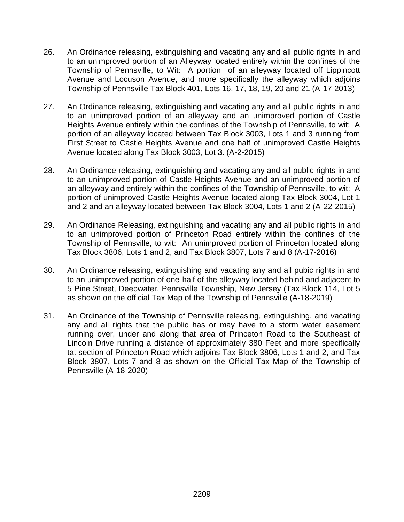- 26. An Ordinance releasing, extinguishing and vacating any and all public rights in and to an unimproved portion of an Alleyway located entirely within the confines of the Township of Pennsville, to Wit: A portion of an alleyway located off Lippincott Avenue and Locuson Avenue, and more specifically the alleyway which adjoins Township of Pennsville Tax Block 401, Lots 16, 17, 18, 19, 20 and 21 (A-17-2013)
- 27. An Ordinance releasing, extinguishing and vacating any and all public rights in and to an unimproved portion of an alleyway and an unimproved portion of Castle Heights Avenue entirely within the confines of the Township of Pennsville, to wit: A portion of an alleyway located between Tax Block 3003, Lots 1 and 3 running from First Street to Castle Heights Avenue and one half of unimproved Castle Heights Avenue located along Tax Block 3003, Lot 3. (A-2-2015)
- 28. An Ordinance releasing, extinguishing and vacating any and all public rights in and to an unimproved portion of Castle Heights Avenue and an unimproved portion of an alleyway and entirely within the confines of the Township of Pennsville, to wit: A portion of unimproved Castle Heights Avenue located along Tax Block 3004, Lot 1 and 2 and an alleyway located between Tax Block 3004, Lots 1 and 2 (A-22-2015)
- 29. An Ordinance Releasing, extinguishing and vacating any and all public rights in and to an unimproved portion of Princeton Road entirely within the confines of the Township of Pennsville, to wit: An unimproved portion of Princeton located along Tax Block 3806, Lots 1 and 2, and Tax Block 3807, Lots 7 and 8 (A-17-2016)
- 30. An Ordinance releasing, extinguishing and vacating any and all pubic rights in and to an unimproved portion of one-half of the alleyway located behind and adjacent to 5 Pine Street, Deepwater, Pennsville Township, New Jersey (Tax Block 114, Lot 5 as shown on the official Tax Map of the Township of Pennsville (A-18-2019)
- 31. An Ordinance of the Township of Pennsville releasing, extinguishing, and vacating any and all rights that the public has or may have to a storm water easement running over, under and along that area of Princeton Road to the Southeast of Lincoln Drive running a distance of approximately 380 Feet and more specifically tat section of Princeton Road which adjoins Tax Block 3806, Lots 1 and 2, and Tax Block 3807, Lots 7 and 8 as shown on the Official Tax Map of the Township of Pennsville (A-18-2020)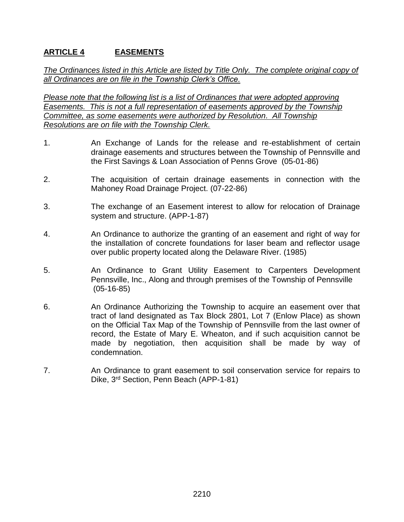# **ARTICLE 4 EASEMENTS**

*The Ordinances listed in this Article are listed by Title Only. The complete original copy of all Ordinances are on file in the Township Clerk's Office.*

*Please note that the following list is a list of Ordinances that were adopted approving Easements. This is not a full representation of easements approved by the Township Committee, as some easements were authorized by Resolution. All Township Resolutions are on file with the Township Clerk.*

- 1. An Exchange of Lands for the release and re-establishment of certain drainage easements and structures between the Township of Pennsville and the First Savings & Loan Association of Penns Grove (05-01-86)
- 2. The acquisition of certain drainage easements in connection with the Mahoney Road Drainage Project. (07-22-86)
- 3. The exchange of an Easement interest to allow for relocation of Drainage system and structure. (APP-1-87)
- 4. An Ordinance to authorize the granting of an easement and right of way for the installation of concrete foundations for laser beam and reflector usage over public property located along the Delaware River. (1985)
- 5. An Ordinance to Grant Utility Easement to Carpenters Development Pennsville, Inc., Along and through premises of the Township of Pennsville (05-16-85)
- 6. An Ordinance Authorizing the Township to acquire an easement over that tract of land designated as Tax Block 2801, Lot 7 (Enlow Place) as shown on the Official Tax Map of the Township of Pennsville from the last owner of record, the Estate of Mary E. Wheaton, and if such acquisition cannot be made by negotiation, then acquisition shall be made by way of condemnation.
- 7. An Ordinance to grant easement to soil conservation service for repairs to Dike, 3rd Section, Penn Beach (APP-1-81)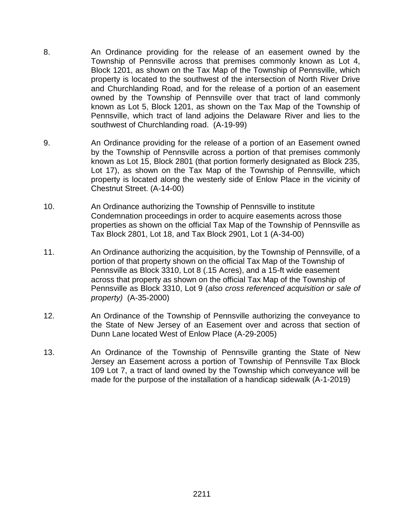- 8. An Ordinance providing for the release of an easement owned by the Township of Pennsville across that premises commonly known as Lot 4, Block 1201, as shown on the Tax Map of the Township of Pennsville, which property is located to the southwest of the intersection of North River Drive and Churchlanding Road, and for the release of a portion of an easement owned by the Township of Pennsville over that tract of land commonly known as Lot 5, Block 1201, as shown on the Tax Map of the Township of Pennsville, which tract of land adjoins the Delaware River and lies to the southwest of Churchlanding road. (A-19-99)
- 9. An Ordinance providing for the release of a portion of an Easement owned by the Township of Pennsville across a portion of that premises commonly known as Lot 15, Block 2801 (that portion formerly designated as Block 235, Lot 17), as shown on the Tax Map of the Township of Pennsville, which property is located along the westerly side of Enlow Place in the vicinity of Chestnut Street. (A-14-00)
- 10. An Ordinance authorizing the Township of Pennsville to institute Condemnation proceedings in order to acquire easements across those properties as shown on the official Tax Map of the Township of Pennsville as Tax Block 2801, Lot 18, and Tax Block 2901, Lot 1 (A-34-00)
- 11. An Ordinance authorizing the acquisition, by the Township of Pennsville, of a portion of that property shown on the official Tax Map of the Township of Pennsville as Block 3310, Lot 8 (.15 Acres), and a 15-ft wide easement across that property as shown on the official Tax Map of the Township of Pennsville as Block 3310, Lot 9 (*also cross referenced acquisition or sale of property)* (A-35-2000)
- 12. An Ordinance of the Township of Pennsville authorizing the conveyance to the State of New Jersey of an Easement over and across that section of Dunn Lane located West of Enlow Place (A-29-2005)
- 13. An Ordinance of the Township of Pennsville granting the State of New Jersey an Easement across a portion of Township of Pennsville Tax Block 109 Lot 7, a tract of land owned by the Township which conveyance will be made for the purpose of the installation of a handicap sidewalk (A-1-2019)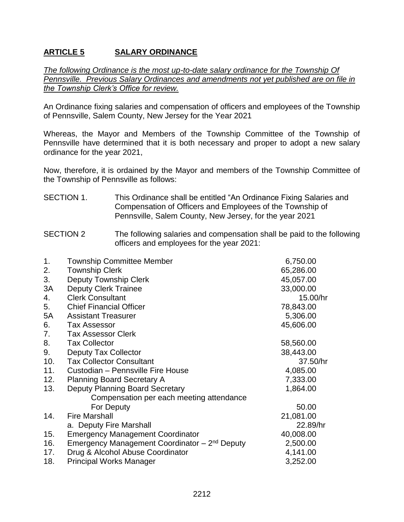# **ARTICLE 5 SALARY ORDINANCE**

*The following Ordinance is the most up-to-date salary ordinance for the Township Of Pennsville. Previous Salary Ordinances and amendments not yet published are on file in the Township Clerk's Office for review.*

An Ordinance fixing salaries and compensation of officers and employees of the Township of Pennsville, Salem County, New Jersey for the Year 2021

Whereas, the Mayor and Members of the Township Committee of the Township of Pennsville have determined that it is both necessary and proper to adopt a new salary ordinance for the year 2021,

Now, therefore, it is ordained by the Mayor and members of the Township Committee of the Township of Pennsville as follows:

### SECTION 1. This Ordinance shall be entitled "An Ordinance Fixing Salaries and Compensation of Officers and Employees of the Township of Pennsville, Salem County, New Jersey, for the year 2021

#### SECTION 2 The following salaries and compensation shall be paid to the following officers and employees for the year 2021:

| 1.  | <b>Township Committee Member</b>                          | 6,750.00  |
|-----|-----------------------------------------------------------|-----------|
| 2.  | <b>Township Clerk</b>                                     | 65,286.00 |
| 3.  | Deputy Township Clerk                                     | 45,057.00 |
| 3A  | <b>Deputy Clerk Trainee</b>                               | 33,000.00 |
| 4.  | <b>Clerk Consultant</b>                                   | 15.00/hr  |
| 5.  | <b>Chief Financial Officer</b>                            | 78,843.00 |
| 5A  | <b>Assistant Treasurer</b>                                | 5,306.00  |
| 6.  | <b>Tax Assessor</b>                                       | 45,606.00 |
| 7.  | <b>Tax Assessor Clerk</b>                                 |           |
| 8.  | <b>Tax Collector</b>                                      | 58,560.00 |
| 9.  | <b>Deputy Tax Collector</b>                               | 38,443.00 |
| 10. | <b>Tax Collector Consultant</b>                           | 37.50/hr  |
| 11. | Custodian - Pennsville Fire House                         | 4,085.00  |
| 12. | <b>Planning Board Secretary A</b>                         | 7,333.00  |
| 13. | Deputy Planning Board Secretary                           | 1,864.00  |
|     | Compensation per each meeting attendance                  |           |
|     | For Deputy                                                | 50.00     |
| 14. | <b>Fire Marshall</b>                                      | 21,081.00 |
|     | a. Deputy Fire Marshall                                   | 22.89/hr  |
| 15. | <b>Emergency Management Coordinator</b>                   | 40,008.00 |
| 16. | Emergency Management Coordinator – 2 <sup>nd</sup> Deputy | 2,500.00  |
| 17. | Drug & Alcohol Abuse Coordinator                          | 4,141.00  |
| 18. | <b>Principal Works Manager</b>                            | 3,252.00  |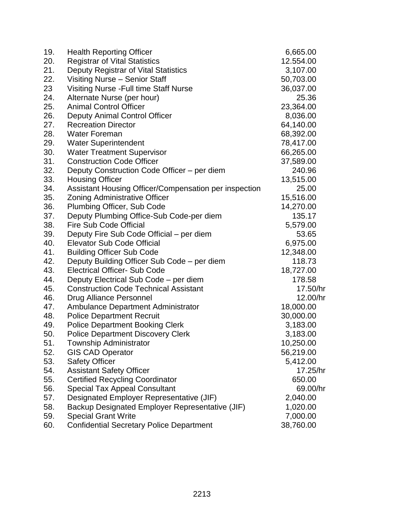| 19. | <b>Health Reporting Officer</b>                       | 6,665.00  |
|-----|-------------------------------------------------------|-----------|
| 20. | <b>Registrar of Vital Statistics</b>                  | 12.554.00 |
| 21. | Deputy Registrar of Vital Statistics                  | 3,107.00  |
| 22. | Visiting Nurse - Senior Staff                         | 50,703.00 |
| 23  | <b>Visiting Nurse - Full time Staff Nurse</b>         | 36,037.00 |
| 24. | Alternate Nurse (per hour)                            | 25.36     |
| 25. | <b>Animal Control Officer</b>                         | 23,364.00 |
| 26. | Deputy Animal Control Officer                         | 8,036.00  |
| 27. | <b>Recreation Director</b>                            | 64,140.00 |
| 28. | <b>Water Foreman</b>                                  | 68,392.00 |
| 29. | <b>Water Superintendent</b>                           | 78,417.00 |
| 30. | <b>Water Treatment Supervisor</b>                     | 66,265.00 |
| 31. | <b>Construction Code Officer</b>                      | 37,589.00 |
| 32. | Deputy Construction Code Officer – per diem           | 240.96    |
| 33. | <b>Housing Officer</b>                                | 13,515.00 |
| 34. | Assistant Housing Officer/Compensation per inspection | 25.00     |
| 35. | <b>Zoning Administrative Officer</b>                  | 15,516.00 |
| 36. | Plumbing Officer, Sub Code                            | 14,270.00 |
| 37. | Deputy Plumbing Office-Sub Code-per diem              | 135.17    |
| 38. | <b>Fire Sub Code Official</b>                         | 5,579.00  |
| 39. | Deputy Fire Sub Code Official – per diem              | 53.65     |
| 40. | <b>Elevator Sub Code Official</b>                     | 6,975.00  |
| 41. | <b>Building Officer Sub Code</b>                      | 12,348.00 |
| 42. | Deputy Building Officer Sub Code - per diem           | 118.73    |
| 43. | <b>Electrical Officer- Sub Code</b>                   | 18,727.00 |
| 44. | Deputy Electrical Sub Code - per diem                 | 178.58    |
| 45. | <b>Construction Code Technical Assistant</b>          | 17.50/hr  |
| 46. | Drug Alliance Personnel                               | 12.00/hr  |
| 47. | <b>Ambulance Department Administrator</b>             | 18,000.00 |
| 48. | <b>Police Department Recruit</b>                      | 30,000.00 |
| 49. | <b>Police Department Booking Clerk</b>                | 3,183.00  |
| 50. | <b>Police Department Discovery Clerk</b>              | 3,183.00  |
| 51. | <b>Township Administrator</b>                         | 10,250.00 |
| 52. | <b>GIS CAD Operator</b>                               | 56,219.00 |
| 53. | <b>Safety Officer</b>                                 | 5,412.00  |
| 54. | <b>Assistant Safety Officer</b>                       | 17.25/hr  |
| 55. | <b>Certified Recycling Coordinator</b>                | 650.00    |
| 56. | <b>Special Tax Appeal Consultant</b>                  | 69.00/hr  |
| 57. | Designated Employer Representative (JIF)              | 2,040.00  |
| 58. | Backup Designated Employer Representative (JIF)       | 1,020.00  |
| 59. | <b>Special Grant Write</b>                            | 7,000.00  |
| 60. | <b>Confidential Secretary Police Department</b>       | 38,760.00 |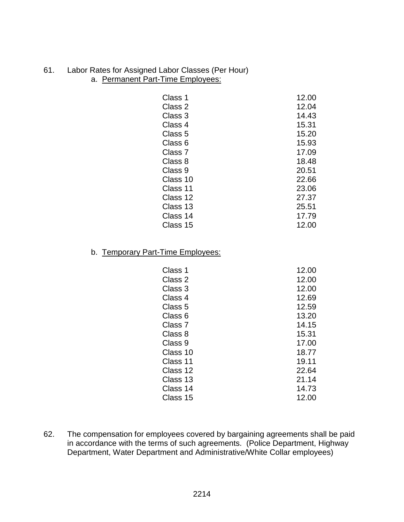#### 61. Labor Rates for Assigned Labor Classes (Per Hour) a. Permanent Part-Time Employees:

| Class 1  | 12.00 |
|----------|-------|
| Class 2  | 12.04 |
| Class 3  | 14.43 |
| Class 4  | 15.31 |
| Class 5  | 15.20 |
| Class 6  | 15.93 |
| Class 7  | 17.09 |
| Class 8  | 18.48 |
| Class 9  | 20.51 |
| Class 10 | 22.66 |
| Class 11 | 23.06 |
| Class 12 | 27.37 |
| Class 13 | 25.51 |
| Class 14 | 17.79 |
| Class 15 | 12.00 |

## b. Temporary Part-Time Employees:

| Class 1            | 12.00 |
|--------------------|-------|
| Class 2            | 12.00 |
| Class 3            | 12.00 |
| Class 4            | 12.69 |
| Class 5            | 12.59 |
| Class 6            | 13.20 |
| Class <sub>7</sub> | 14.15 |
| Class 8            | 15.31 |
| Class 9            | 17.00 |
| Class 10           | 18.77 |
| Class 11           | 19.11 |
| Class 12           | 22.64 |
| Class 13           | 21.14 |
| Class 14           | 14.73 |
| Class 15           | 12.00 |

62. The compensation for employees covered by bargaining agreements shall be paid in accordance with the terms of such agreements. (Police Department, Highway Department, Water Department and Administrative/White Collar employees)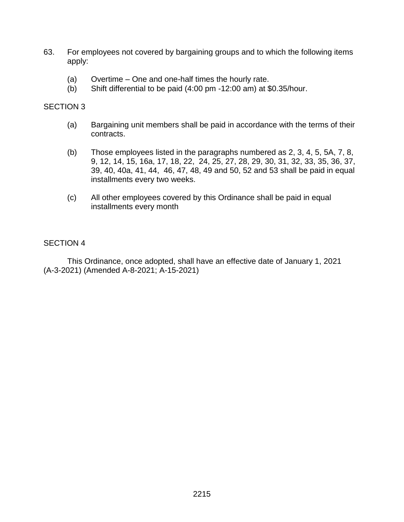- 63. For employees not covered by bargaining groups and to which the following items apply:
	- (a) Overtime One and one-half times the hourly rate.
	- (b) Shift differential to be paid (4:00 pm -12:00 am) at \$0.35/hour.

#### SECTION 3

- (a) Bargaining unit members shall be paid in accordance with the terms of their contracts.
- (b) Those employees listed in the paragraphs numbered as 2, 3, 4, 5, 5A, 7, 8, 9, 12, 14, 15, 16a, 17, 18, 22, 24, 25, 27, 28, 29, 30, 31, 32, 33, 35, 36, 37, 39, 40, 40a, 41, 44, 46, 47, 48, 49 and 50, 52 and 53 shall be paid in equal installments every two weeks.
- (c) All other employees covered by this Ordinance shall be paid in equal installments every month

### SECTION 4

This Ordinance, once adopted, shall have an effective date of January 1, 2021 (A-3-2021) (Amended A-8-2021; A-15-2021)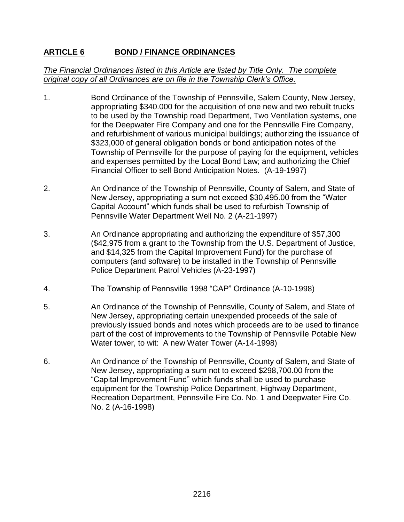# **ARTICLE 6 BOND / FINANCE ORDINANCES**

### *The Financial Ordinances listed in this Article are listed by Title Only. The complete original copy of all Ordinances are on file in the Township Clerk's Office.*

- 1. Bond Ordinance of the Township of Pennsville, Salem County, New Jersey, appropriating \$340.000 for the acquisition of one new and two rebuilt trucks to be used by the Township road Department, Two Ventilation systems, one for the Deepwater Fire Company and one for the Pennsville Fire Company, and refurbishment of various municipal buildings; authorizing the issuance of \$323,000 of general obligation bonds or bond anticipation notes of the Township of Pennsville for the purpose of paying for the equipment, vehicles and expenses permitted by the Local Bond Law; and authorizing the Chief Financial Officer to sell Bond Anticipation Notes. (A-19-1997)
- 2. An Ordinance of the Township of Pennsville, County of Salem, and State of New Jersey, appropriating a sum not exceed \$30,495.00 from the "Water Capital Account" which funds shall be used to refurbish Township of Pennsville Water Department Well No. 2 (A-21-1997)
- 3. An Ordinance appropriating and authorizing the expenditure of \$57,300 (\$42,975 from a grant to the Township from the U.S. Department of Justice, and \$14,325 from the Capital Improvement Fund) for the purchase of computers (and software) to be installed in the Township of Pennsville Police Department Patrol Vehicles (A-23-1997)
- 4. The Township of Pennsville 1998 "CAP" Ordinance (A-10-1998)
- 5. An Ordinance of the Township of Pennsville, County of Salem, and State of New Jersey, appropriating certain unexpended proceeds of the sale of previously issued bonds and notes which proceeds are to be used to finance part of the cost of improvements to the Township of Pennsville Potable New Water tower, to wit: A new Water Tower (A-14-1998)
- 6. An Ordinance of the Township of Pennsville, County of Salem, and State of New Jersey, appropriating a sum not to exceed \$298,700.00 from the "Capital Improvement Fund" which funds shall be used to purchase equipment for the Township Police Department, Highway Department, Recreation Department, Pennsville Fire Co. No. 1 and Deepwater Fire Co. No. 2 (A-16-1998)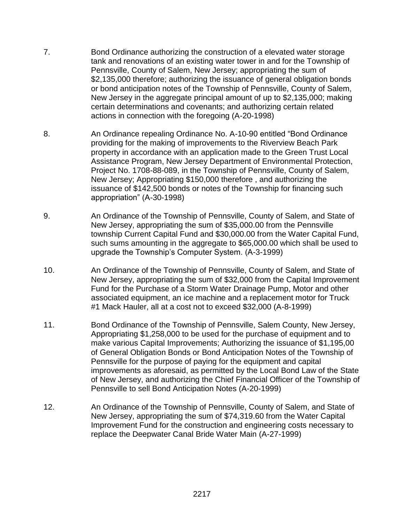- 7. Bond Ordinance authorizing the construction of a elevated water storage tank and renovations of an existing water tower in and for the Township of Pennsville, County of Salem, New Jersey; appropriating the sum of \$2,135,000 therefore; authorizing the issuance of general obligation bonds or bond anticipation notes of the Township of Pennsville, County of Salem, New Jersey in the aggregate principal amount of up to \$2,135,000; making certain determinations and covenants; and authorizing certain related actions in connection with the foregoing (A-20-1998)
- 8. An Ordinance repealing Ordinance No. A-10-90 entitled "Bond Ordinance" providing for the making of improvements to the Riverview Beach Park property in accordance with an application made to the Green Trust Local Assistance Program, New Jersey Department of Environmental Protection, Project No. 1708-88-089, in the Township of Pennsville, County of Salem, New Jersey; Appropriating \$150,000 therefore , and authorizing the issuance of \$142,500 bonds or notes of the Township for financing such appropriation" (A-30-1998)
- 9. An Ordinance of the Township of Pennsville, County of Salem, and State of New Jersey, appropriating the sum of \$35,000.00 from the Pennsville township Current Capital Fund and \$30,000.00 from the Water Capital Fund, such sums amounting in the aggregate to \$65,000.00 which shall be used to upgrade the Township's Computer System. (A-3-1999)
- 10. An Ordinance of the Township of Pennsville, County of Salem, and State of New Jersey, appropriating the sum of \$32,000 from the Capital Improvement Fund for the Purchase of a Storm Water Drainage Pump, Motor and other associated equipment, an ice machine and a replacement motor for Truck #1 Mack Hauler, all at a cost not to exceed \$32,000 (A-8-1999)
- 11. Bond Ordinance of the Township of Pennsville, Salem County, New Jersey, Appropriating \$1,258,000 to be used for the purchase of equipment and to make various Capital Improvements; Authorizing the issuance of \$1,195,00 of General Obligation Bonds or Bond Anticipation Notes of the Township of Pennsville for the purpose of paying for the equipment and capital improvements as aforesaid, as permitted by the Local Bond Law of the State of New Jersey, and authorizing the Chief Financial Officer of the Township of Pennsville to sell Bond Anticipation Notes (A-20-1999)
- 12. An Ordinance of the Township of Pennsville, County of Salem, and State of New Jersey, appropriating the sum of \$74,319.60 from the Water Capital Improvement Fund for the construction and engineering costs necessary to replace the Deepwater Canal Bride Water Main (A-27-1999)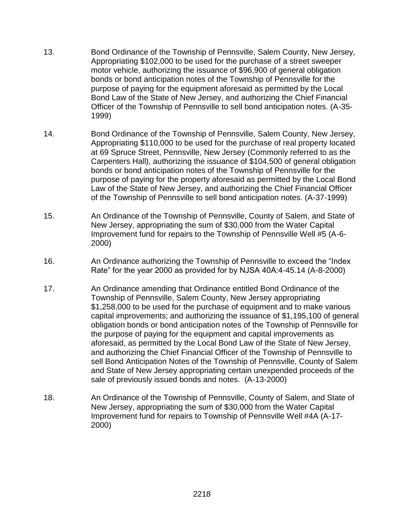- 13. Bond Ordinance of the Township of Pennsville, Salem County, New Jersey, Appropriating \$102,000 to be used for the purchase of a street sweeper motor vehicle, authorizing the issuance of \$96,900 of general obligation bonds or bond anticipation notes of the Township of Pennsville for the purpose of paying for the equipment aforesaid as permitted by the Local Bond Law of the State of New Jersey, and authorizing the Chief Financial Officer of the Township of Pennsville to sell bond anticipation notes. (A-35- 1999)
- 14. Bond Ordinance of the Township of Pennsville, Salem County, New Jersey, Appropriating \$110,000 to be used for the purchase of real property located at 69 Spruce Street, Pennsville, New Jersey (Commonly referred to as the Carpenters Hall), authorizing the issuance of \$104,500 of general obligation bonds or bond anticipation notes of the Township of Pennsville for the purpose of paying for the property aforesaid as permitted by the Local Bond Law of the State of New Jersey, and authorizing the Chief Financial Officer of the Township of Pennsville to sell bond anticipation notes. (A-37-1999)
- 15. An Ordinance of the Township of Pennsville, County of Salem, and State of New Jersey, appropriating the sum of \$30,000 from the Water Capital Improvement fund for repairs to the Township of Pennsville Well #5 (A-6- 2000)
- 16. An Ordinance authorizing the Township of Pennsville to exceed the "Index Rate" for the year 2000 as provided for by NJSA 40A:4-45.14 (A-8-2000)
- 17. An Ordinance amending that Ordinance entitled Bond Ordinance of the Township of Pennsville, Salem County, New Jersey appropriating \$1,258,000 to be used for the purchase of equipment and to make various capital improvements; and authorizing the issuance of \$1,195,100 of general obligation bonds or bond anticipation notes of the Township of Pennsville for the purpose of paying for the equipment and capital improvements as aforesaid, as permitted by the Local Bond Law of the State of New Jersey, and authorizing the Chief Financial Officer of the Township of Pennsville to sell Bond Anticipation Notes of the Township of Pennsville, County of Salem and State of New Jersey appropriating certain unexpended proceeds of the sale of previously issued bonds and notes. (A-13-2000)
- 18. An Ordinance of the Township of Pennsville, County of Salem, and State of New Jersey, appropriating the sum of \$30,000 from the Water Capital Improvement fund for repairs to Township of Pennsville Well #4A (A-17- 2000)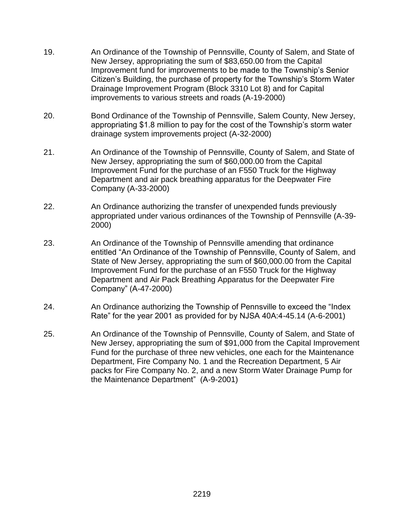- 19. An Ordinance of the Township of Pennsville, County of Salem, and State of New Jersey, appropriating the sum of \$83,650.00 from the Capital Improvement fund for improvements to be made to the Township's Senior Citizen's Building, the purchase of property for the Township's Storm Water Drainage Improvement Program (Block 3310 Lot 8) and for Capital improvements to various streets and roads (A-19-2000)
- 20. Bond Ordinance of the Township of Pennsville, Salem County, New Jersey, appropriating \$1.8 million to pay for the cost of the Township's storm water drainage system improvements project (A-32-2000)
- 21. An Ordinance of the Township of Pennsville, County of Salem, and State of New Jersey, appropriating the sum of \$60,000.00 from the Capital Improvement Fund for the purchase of an F550 Truck for the Highway Department and air pack breathing apparatus for the Deepwater Fire Company (A-33-2000)
- 22. An Ordinance authorizing the transfer of unexpended funds previously appropriated under various ordinances of the Township of Pennsville (A-39- 2000)
- 23. An Ordinance of the Township of Pennsville amending that ordinance entitled "An Ordinance of the Township of Pennsville, County of Salem, and State of New Jersey, appropriating the sum of \$60,000.00 from the Capital Improvement Fund for the purchase of an F550 Truck for the Highway Department and Air Pack Breathing Apparatus for the Deepwater Fire Company" (A-47-2000)
- 24. An Ordinance authorizing the Township of Pennsville to exceed the "Index Rate" for the year 2001 as provided for by NJSA 40A:4-45.14 (A-6-2001)
- 25. An Ordinance of the Township of Pennsville, County of Salem, and State of New Jersey, appropriating the sum of \$91,000 from the Capital Improvement Fund for the purchase of three new vehicles, one each for the Maintenance Department, Fire Company No. 1 and the Recreation Department, 5 Air packs for Fire Company No. 2, and a new Storm Water Drainage Pump for the Maintenance Department" (A-9-2001)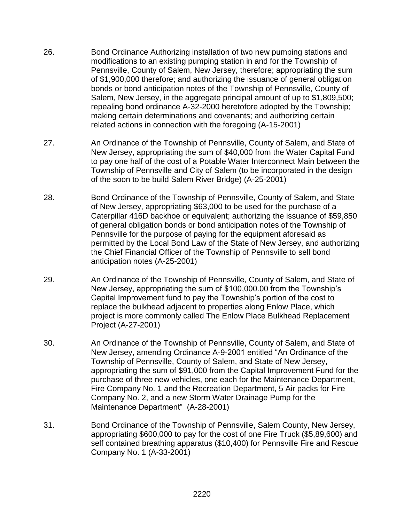- 26. Bond Ordinance Authorizing installation of two new pumping stations and modifications to an existing pumping station in and for the Township of Pennsville, County of Salem, New Jersey, therefore; appropriating the sum of \$1,900,000 therefore; and authorizing the issuance of general obligation bonds or bond anticipation notes of the Township of Pennsville, County of Salem, New Jersey, in the aggregate principal amount of up to \$1,809,500; repealing bond ordinance A-32-2000 heretofore adopted by the Township; making certain determinations and covenants; and authorizing certain related actions in connection with the foregoing (A-15-2001)
- 27. An Ordinance of the Township of Pennsville, County of Salem, and State of New Jersey, appropriating the sum of \$40,000 from the Water Capital Fund to pay one half of the cost of a Potable Water Interconnect Main between the Township of Pennsville and City of Salem (to be incorporated in the design of the soon to be build Salem River Bridge) (A-25-2001)
- 28. Bond Ordinance of the Township of Pennsville, County of Salem, and State of New Jersey, appropriating \$63,000 to be used for the purchase of a Caterpillar 416D backhoe or equivalent; authorizing the issuance of \$59,850 of general obligation bonds or bond anticipation notes of the Township of Pennsville for the purpose of paying for the equipment aforesaid as permitted by the Local Bond Law of the State of New Jersey, and authorizing the Chief Financial Officer of the Township of Pennsville to sell bond anticipation notes (A-25-2001)
- 29. An Ordinance of the Township of Pennsville, County of Salem, and State of New Jersey, appropriating the sum of \$100,000.00 from the Township's Capital Improvement fund to pay the Township's portion of the cost to replace the bulkhead adjacent to properties along Enlow Place, which project is more commonly called The Enlow Place Bulkhead Replacement Project (A-27-2001)
- 30. An Ordinance of the Township of Pennsville, County of Salem, and State of New Jersey, amending Ordinance A-9-2001 entitled "An Ordinance of the Township of Pennsville, County of Salem, and State of New Jersey, appropriating the sum of \$91,000 from the Capital Improvement Fund for the purchase of three new vehicles, one each for the Maintenance Department, Fire Company No. 1 and the Recreation Department, 5 Air packs for Fire Company No. 2, and a new Storm Water Drainage Pump for the Maintenance Department" (A-28-2001)
- 31. Bond Ordinance of the Township of Pennsville, Salem County, New Jersey, appropriating \$600,000 to pay for the cost of one Fire Truck (\$5,89,600) and self contained breathing apparatus (\$10,400) for Pennsville Fire and Rescue Company No. 1 (A-33-2001)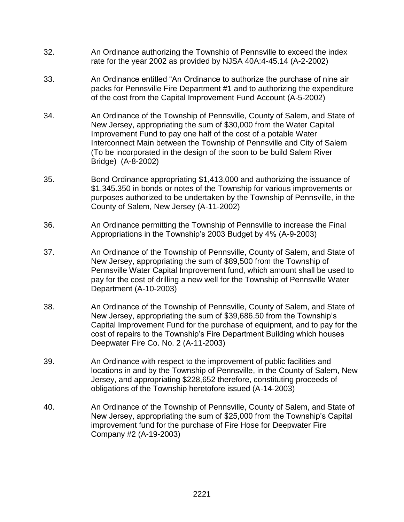- 32. An Ordinance authorizing the Township of Pennsville to exceed the index rate for the year 2002 as provided by NJSA 40A:4-45.14 (A-2-2002)
- 33. An Ordinance entitled "An Ordinance to authorize the purchase of nine air packs for Pennsville Fire Department #1 and to authorizing the expenditure of the cost from the Capital Improvement Fund Account (A-5-2002)
- 34. An Ordinance of the Township of Pennsville, County of Salem, and State of New Jersey, appropriating the sum of \$30,000 from the Water Capital Improvement Fund to pay one half of the cost of a potable Water Interconnect Main between the Township of Pennsville and City of Salem (To be incorporated in the design of the soon to be build Salem River Bridge) (A-8-2002)
- 35. Bond Ordinance appropriating \$1,413,000 and authorizing the issuance of \$1,345.350 in bonds or notes of the Township for various improvements or purposes authorized to be undertaken by the Township of Pennsville, in the County of Salem, New Jersey (A-11-2002)
- 36. An Ordinance permitting the Township of Pennsville to increase the Final Appropriations in the Township's 2003 Budget by 4% (A-9-2003)
- 37. An Ordinance of the Township of Pennsville, County of Salem, and State of New Jersey, appropriating the sum of \$89,500 from the Township of Pennsville Water Capital Improvement fund, which amount shall be used to pay for the cost of drilling a new well for the Township of Pennsville Water Department (A-10-2003)
- 38. An Ordinance of the Township of Pennsville, County of Salem, and State of New Jersey, appropriating the sum of \$39,686.50 from the Township's Capital Improvement Fund for the purchase of equipment, and to pay for the cost of repairs to the Township's Fire Department Building which houses Deepwater Fire Co. No. 2 (A-11-2003)
- 39. An Ordinance with respect to the improvement of public facilities and locations in and by the Township of Pennsville, in the County of Salem, New Jersey, and appropriating \$228,652 therefore, constituting proceeds of obligations of the Township heretofore issued (A-14-2003)
- 40. An Ordinance of the Township of Pennsville, County of Salem, and State of New Jersey, appropriating the sum of \$25,000 from the Township's Capital improvement fund for the purchase of Fire Hose for Deepwater Fire Company #2 (A-19-2003)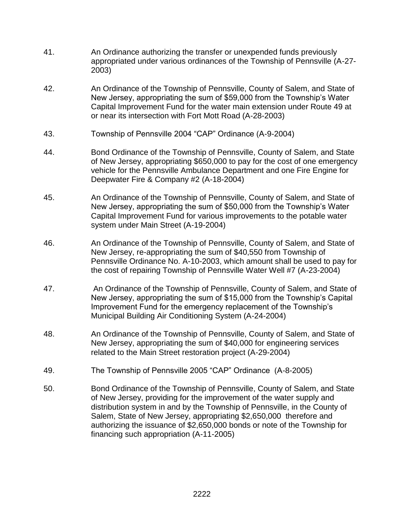- 41. An Ordinance authorizing the transfer or unexpended funds previously appropriated under various ordinances of the Township of Pennsville (A-27- 2003)
- 42. An Ordinance of the Township of Pennsville, County of Salem, and State of New Jersey, appropriating the sum of \$59,000 from the Township's Water Capital Improvement Fund for the water main extension under Route 49 at or near its intersection with Fort Mott Road (A-28-2003)
- 43. Township of Pennsville 2004 "CAP" Ordinance (A-9-2004)
- 44. Bond Ordinance of the Township of Pennsville, County of Salem, and State of New Jersey, appropriating \$650,000 to pay for the cost of one emergency vehicle for the Pennsville Ambulance Department and one Fire Engine for Deepwater Fire & Company #2 (A-18-2004)
- 45. An Ordinance of the Township of Pennsville, County of Salem, and State of New Jersey, appropriating the sum of \$50,000 from the Township's Water Capital Improvement Fund for various improvements to the potable water system under Main Street (A-19-2004)
- 46. An Ordinance of the Township of Pennsville, County of Salem, and State of New Jersey, re-appropriating the sum of \$40,550 from Township of Pennsville Ordinance No. A-10-2003, which amount shall be used to pay for the cost of repairing Township of Pennsville Water Well #7 (A-23-2004)
- 47. An Ordinance of the Township of Pennsville, County of Salem, and State of New Jersey, appropriating the sum of \$15,000 from the Township's Capital Improvement Fund for the emergency replacement of the Township's Municipal Building Air Conditioning System (A-24-2004)
- 48. An Ordinance of the Township of Pennsville, County of Salem, and State of New Jersey, appropriating the sum of \$40,000 for engineering services related to the Main Street restoration project (A-29-2004)
- 49. The Township of Pennsville 2005 "CAP" Ordinance (A-8-2005)
- 50. Bond Ordinance of the Township of Pennsville, County of Salem, and State of New Jersey, providing for the improvement of the water supply and distribution system in and by the Township of Pennsville, in the County of Salem, State of New Jersey, appropriating \$2,650,000 therefore and authorizing the issuance of \$2,650,000 bonds or note of the Township for financing such appropriation (A-11-2005)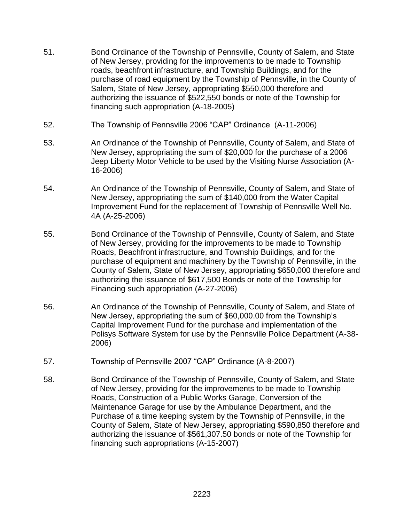- 51. Bond Ordinance of the Township of Pennsville, County of Salem, and State of New Jersey, providing for the improvements to be made to Township roads, beachfront infrastructure, and Township Buildings, and for the purchase of road equipment by the Township of Pennsville, in the County of Salem, State of New Jersey, appropriating \$550,000 therefore and authorizing the issuance of \$522,550 bonds or note of the Township for financing such appropriation (A-18-2005)
- 52. The Township of Pennsville 2006 "CAP" Ordinance (A-11-2006)
- 53. An Ordinance of the Township of Pennsville, County of Salem, and State of New Jersey, appropriating the sum of \$20,000 for the purchase of a 2006 Jeep Liberty Motor Vehicle to be used by the Visiting Nurse Association (A-16-2006)
- 54. An Ordinance of the Township of Pennsville, County of Salem, and State of New Jersey, appropriating the sum of \$140,000 from the Water Capital Improvement Fund for the replacement of Township of Pennsville Well No. 4A (A-25-2006)
- 55. Bond Ordinance of the Township of Pennsville, County of Salem, and State of New Jersey, providing for the improvements to be made to Township Roads, Beachfront infrastructure, and Township Buildings, and for the purchase of equipment and machinery by the Township of Pennsville, in the County of Salem, State of New Jersey, appropriating \$650,000 therefore and authorizing the issuance of \$617,500 Bonds or note of the Township for Financing such appropriation (A-27-2006)
- 56. An Ordinance of the Township of Pennsville, County of Salem, and State of New Jersey, appropriating the sum of \$60,000.00 from the Township's Capital Improvement Fund for the purchase and implementation of the Polisys Software System for use by the Pennsville Police Department (A-38- 2006)
- 57. Township of Pennsville 2007 "CAP" Ordinance (A-8-2007)
- 58. Bond Ordinance of the Township of Pennsville, County of Salem, and State of New Jersey, providing for the improvements to be made to Township Roads, Construction of a Public Works Garage, Conversion of the Maintenance Garage for use by the Ambulance Department, and the Purchase of a time keeping system by the Township of Pennsville, in the County of Salem, State of New Jersey, appropriating \$590,850 therefore and authorizing the issuance of \$561,307.50 bonds or note of the Township for financing such appropriations (A-15-2007)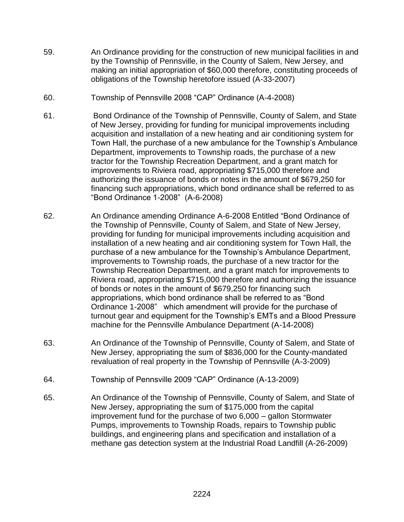- 59. An Ordinance providing for the construction of new municipal facilities in and by the Township of Pennsville, in the County of Salem, New Jersey, and making an initial appropriation of \$60,000 therefore, constituting proceeds of obligations of the Township heretofore issued (A-33-2007)
- 60. Township of Pennsville 2008 "CAP" Ordinance (A-4-2008)
- 61. Bond Ordinance of the Township of Pennsville, County of Salem, and State of New Jersey, providing for funding for municipal improvements including acquisition and installation of a new heating and air conditioning system for Town Hall, the purchase of a new ambulance for the Township's Ambulance Department, improvements to Township roads, the purchase of a new tractor for the Township Recreation Department, and a grant match for improvements to Riviera road, appropriating \$715,000 therefore and authorizing the issuance of bonds or notes in the amount of \$679,250 for financing such appropriations, which bond ordinance shall be referred to as "Bond Ordinance 1-2008" (A-6-2008)
- 62. An Ordinance amending Ordinance A-6-2008 Entitled "Bond Ordinance of the Township of Pennsville, County of Salem, and State of New Jersey, providing for funding for municipal improvements including acquisition and installation of a new heating and air conditioning system for Town Hall, the purchase of a new ambulance for the Township's Ambulance Department, improvements to Township roads, the purchase of a new tractor for the Township Recreation Department, and a grant match for improvements to Riviera road, appropriating \$715,000 therefore and authorizing the issuance of bonds or notes in the amount of \$679,250 for financing such appropriations, which bond ordinance shall be referred to as "Bond Ordinance 1-2008" which amendment will provide for the purchase of turnout gear and equipment for the Township's EMTs and a Blood Pressure machine for the Pennsville Ambulance Department (A-14-2008)
- 63. An Ordinance of the Township of Pennsville, County of Salem, and State of New Jersey, appropriating the sum of \$836,000 for the County-mandated revaluation of real property in the Township of Pennsville (A-3-2009)
- 64. Township of Pennsville 2009 "CAP" Ordinance (A-13-2009)
- 65. An Ordinance of the Township of Pennsville, County of Salem, and State of New Jersey, appropriating the sum of \$175,000 from the capital improvement fund for the purchase of two 6,000 – gallon Stormwater Pumps, improvements to Township Roads, repairs to Township public buildings, and engineering plans and specification and installation of a methane gas detection system at the Industrial Road Landfill (A-26-2009)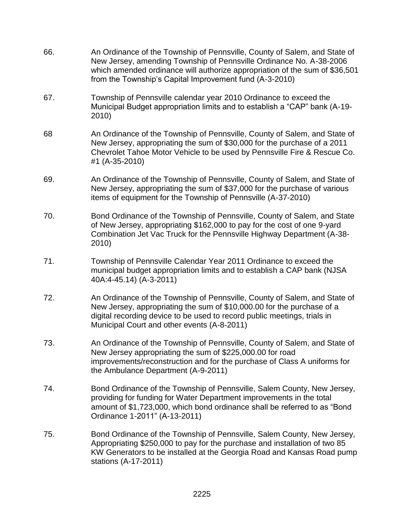| 66. | An Ordinance of the Township of Pennsville, County of Salem, and State of<br>New Jersey, amending Township of Pennsville Ordinance No. A-38-2006<br>which amended ordinance will authorize appropriation of the sum of \$36,501<br>from the Township's Capital Improvement fund (A-3-2010) |
|-----|--------------------------------------------------------------------------------------------------------------------------------------------------------------------------------------------------------------------------------------------------------------------------------------------|
| 67. | Township of Pennsville calendar year 2010 Ordinance to exceed the<br>Municipal Budget appropriation limits and to establish a "CAP" bank (A-19-<br>2010)                                                                                                                                   |
| 68  | An Ordinance of the Township of Pennsville, County of Salem, and State of<br>New Jersey, appropriating the sum of \$30,000 for the purchase of a 2011<br>Chevrolet Tahoe Motor Vehicle to be used by Pennsville Fire & Rescue Co.<br>#1 (A-35-2010)                                        |
| 69. | An Ordinance of the Township of Pennsville, County of Salem, and State of<br>New Jersey, appropriating the sum of \$37,000 for the purchase of various<br>items of equipment for the Township of Pennsville (A-37-2010)                                                                    |
| 70. | Bond Ordinance of the Township of Pennsville, County of Salem, and State<br>of New Jersey, appropriating \$162,000 to pay for the cost of one 9-yard<br>Combination Jet Vac Truck for the Pennsville Highway Department (A-38-<br>2010)                                                    |
| 71. | Township of Pennsville Calendar Year 2011 Ordinance to exceed the<br>municipal budget appropriation limits and to establish a CAP bank (NJSA<br>40A:4-45.14) (A-3-2011)                                                                                                                    |
| 72. | An Ordinance of the Township of Pennsville, County of Salem, and State of<br>New Jersey, appropriating the sum of \$10,000.00 for the purchase of a<br>digital recording device to be used to record public meetings, trials in<br>Municipal Court and other events (A-8-2011)             |
| 73. | An Ordinance of the Township of Pennsville, County of Salem, and State of<br>New Jersey appropriating the sum of \$225,000.00 for road<br>improvements/reconstruction and for the purchase of Class A uniforms for<br>the Ambulance Department (A-9-2011)                                  |
| 74. | Bond Ordinance of the Township of Pennsville, Salem County, New Jersey,<br>providing for funding for Water Department improvements in the total<br>amount of \$1,723,000, which bond ordinance shall be referred to as "Bond<br>Ordinance 1-2011" (A-13-2011)                              |
| 75. | Bond Ordinance of the Township of Pennsville, Salem County, New Jersey,<br>Appropriating \$250,000 to pay for the purchase and installation of two 85<br>KW Generators to be installed at the Georgia Road and Kansas Road pump<br>stations (A-17-2011)                                    |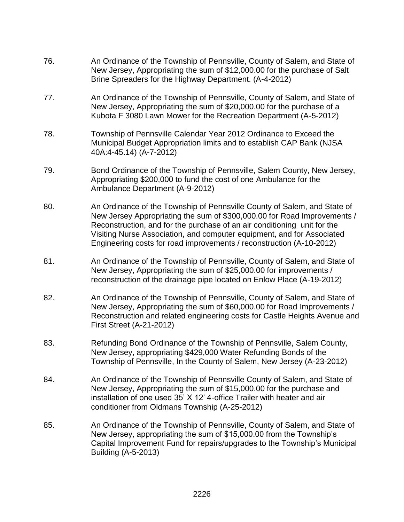- 76. An Ordinance of the Township of Pennsville, County of Salem, and State of New Jersey, Appropriating the sum of \$12,000.00 for the purchase of Salt Brine Spreaders for the Highway Department. (A-4-2012)
- 77. An Ordinance of the Township of Pennsville, County of Salem, and State of New Jersey, Appropriating the sum of \$20,000.00 for the purchase of a Kubota F 3080 Lawn Mower for the Recreation Department (A-5-2012)
- 78. Township of Pennsville Calendar Year 2012 Ordinance to Exceed the Municipal Budget Appropriation limits and to establish CAP Bank (NJSA 40A:4-45.14) (A-7-2012)
- 79. Bond Ordinance of the Township of Pennsville, Salem County, New Jersey, Appropriating \$200,000 to fund the cost of one Ambulance for the Ambulance Department (A-9-2012)
- 80. An Ordinance of the Township of Pennsville County of Salem, and State of New Jersey Appropriating the sum of \$300,000.00 for Road Improvements / Reconstruction, and for the purchase of an air conditioning unit for the Visiting Nurse Association, and computer equipment, and for Associated Engineering costs for road improvements / reconstruction (A-10-2012)
- 81. An Ordinance of the Township of Pennsville, County of Salem, and State of New Jersey, Appropriating the sum of \$25,000.00 for improvements / reconstruction of the drainage pipe located on Enlow Place (A-19-2012)
- 82. An Ordinance of the Township of Pennsville, County of Salem, and State of New Jersey, Appropriating the sum of \$60,000.00 for Road Improvements / Reconstruction and related engineering costs for Castle Heights Avenue and First Street (A-21-2012)
- 83. Refunding Bond Ordinance of the Township of Pennsville, Salem County, New Jersey, appropriating \$429,000 Water Refunding Bonds of the Township of Pennsville, In the County of Salem, New Jersey (A-23-2012)
- 84. An Ordinance of the Township of Pennsville County of Salem, and State of New Jersey, Appropriating the sum of \$15,000.00 for the purchase and installation of one used 35' X 12' 4-office Trailer with heater and air conditioner from Oldmans Township (A-25-2012)
- 85. An Ordinance of the Township of Pennsville, County of Salem, and State of New Jersey, appropriating the sum of \$15,000.00 from the Township's Capital Improvement Fund for repairs/upgrades to the Township's Municipal Building (A-5-2013)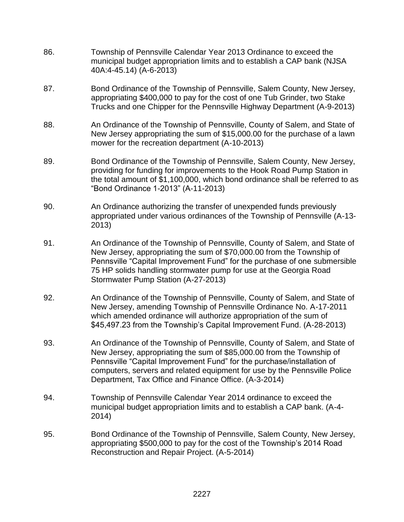- 86. Township of Pennsville Calendar Year 2013 Ordinance to exceed the municipal budget appropriation limits and to establish a CAP bank (NJSA 40A:4-45.14) (A-6-2013)
- 87. Bond Ordinance of the Township of Pennsville, Salem County, New Jersey, appropriating \$400,000 to pay for the cost of one Tub Grinder, two Stake Trucks and one Chipper for the Pennsville Highway Department (A-9-2013)
- 88. An Ordinance of the Township of Pennsville, County of Salem, and State of New Jersey appropriating the sum of \$15,000.00 for the purchase of a lawn mower for the recreation department (A-10-2013)
- 89. Bond Ordinance of the Township of Pennsville, Salem County, New Jersey, providing for funding for improvements to the Hook Road Pump Station in the total amount of \$1,100,000, which bond ordinance shall be referred to as "Bond Ordinance 1-2013" (A-11-2013)
- 90. An Ordinance authorizing the transfer of unexpended funds previously appropriated under various ordinances of the Township of Pennsville (A-13- 2013)
- 91. An Ordinance of the Township of Pennsville, County of Salem, and State of New Jersey, appropriating the sum of \$70,000.00 from the Township of Pennsville "Capital Improvement Fund" for the purchase of one submersible 75 HP solids handling stormwater pump for use at the Georgia Road Stormwater Pump Station (A-27-2013)
- 92. An Ordinance of the Township of Pennsville, County of Salem, and State of New Jersey, amending Township of Pennsville Ordinance No. A-17-2011 which amended ordinance will authorize appropriation of the sum of \$45,497.23 from the Township's Capital Improvement Fund. (A-28-2013)
- 93. An Ordinance of the Township of Pennsville, County of Salem, and State of New Jersey, appropriating the sum of \$85,000.00 from the Township of Pennsville "Capital Improvement Fund" for the purchase/installation of computers, servers and related equipment for use by the Pennsville Police Department, Tax Office and Finance Office. (A-3-2014)
- 94. Township of Pennsville Calendar Year 2014 ordinance to exceed the municipal budget appropriation limits and to establish a CAP bank. (A-4- 2014)
- 95. Bond Ordinance of the Township of Pennsville, Salem County, New Jersey, appropriating \$500,000 to pay for the cost of the Township's 2014 Road Reconstruction and Repair Project. (A-5-2014)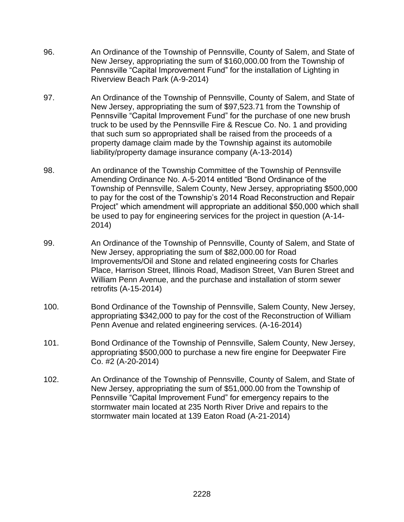- 96. An Ordinance of the Township of Pennsville, County of Salem, and State of New Jersey, appropriating the sum of \$160,000.00 from the Township of Pennsville "Capital Improvement Fund" for the installation of Lighting in Riverview Beach Park (A-9-2014)
- 97. An Ordinance of the Township of Pennsville, County of Salem, and State of New Jersey, appropriating the sum of \$97,523.71 from the Township of Pennsville "Capital Improvement Fund" for the purchase of one new brush truck to be used by the Pennsville Fire & Rescue Co. No. 1 and providing that such sum so appropriated shall be raised from the proceeds of a property damage claim made by the Township against its automobile liability/property damage insurance company (A-13-2014)
- 98. An ordinance of the Township Committee of the Township of Pennsville Amending Ordinance No. A-5-2014 entitled "Bond Ordinance of the Township of Pennsville, Salem County, New Jersey, appropriating \$500,000 to pay for the cost of the Township's 2014 Road Reconstruction and Repair Project" which amendment will appropriate an additional \$50,000 which shall be used to pay for engineering services for the project in question (A-14- 2014)
- 99. An Ordinance of the Township of Pennsville, County of Salem, and State of New Jersey, appropriating the sum of \$82,000.00 for Road Improvements/Oil and Stone and related engineering costs for Charles Place, Harrison Street, Illinois Road, Madison Street, Van Buren Street and William Penn Avenue, and the purchase and installation of storm sewer retrofits (A-15-2014)
- 100. Bond Ordinance of the Township of Pennsville, Salem County, New Jersey, appropriating \$342,000 to pay for the cost of the Reconstruction of William Penn Avenue and related engineering services. (A-16-2014)
- 101. Bond Ordinance of the Township of Pennsville, Salem County, New Jersey, appropriating \$500,000 to purchase a new fire engine for Deepwater Fire Co. #2 (A-20-2014)
- 102. An Ordinance of the Township of Pennsville, County of Salem, and State of New Jersey, appropriating the sum of \$51,000.00 from the Township of Pennsville "Capital Improvement Fund" for emergency repairs to the stormwater main located at 235 North River Drive and repairs to the stormwater main located at 139 Eaton Road (A-21-2014)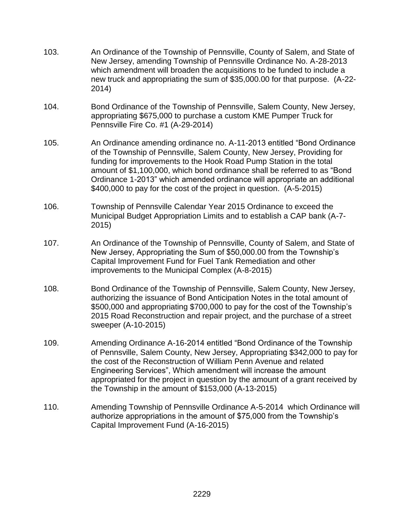- 103. An Ordinance of the Township of Pennsville, County of Salem, and State of New Jersey, amending Township of Pennsville Ordinance No. A-28-2013 which amendment will broaden the acquisitions to be funded to include a new truck and appropriating the sum of \$35,000.00 for that purpose. (A-22- 2014)
- 104. Bond Ordinance of the Township of Pennsville, Salem County, New Jersey, appropriating \$675,000 to purchase a custom KME Pumper Truck for Pennsville Fire Co. #1 (A-29-2014)
- 105. An Ordinance amending ordinance no. A-11-2013 entitled "Bond Ordinance of the Township of Pennsville, Salem County, New Jersey, Providing for funding for improvements to the Hook Road Pump Station in the total amount of \$1,100,000, which bond ordinance shall be referred to as "Bond Ordinance 1-2013" which amended ordinance will appropriate an additional \$400,000 to pay for the cost of the project in question. (A-5-2015)
- 106. Township of Pennsville Calendar Year 2015 Ordinance to exceed the Municipal Budget Appropriation Limits and to establish a CAP bank (A-7- 2015)
- 107. An Ordinance of the Township of Pennsville, County of Salem, and State of New Jersey, Appropriating the Sum of \$50,000.00 from the Township's Capital Improvement Fund for Fuel Tank Remediation and other improvements to the Municipal Complex (A-8-2015)
- 108. Bond Ordinance of the Township of Pennsville, Salem County, New Jersey, authorizing the issuance of Bond Anticipation Notes in the total amount of \$500,000 and appropriating \$700,000 to pay for the cost of the Township's 2015 Road Reconstruction and repair project, and the purchase of a street sweeper (A-10-2015)
- 109. Amending Ordinance A-16-2014 entitled "Bond Ordinance of the Township of Pennsville, Salem County, New Jersey, Appropriating \$342,000 to pay for the cost of the Reconstruction of William Penn Avenue and related Engineering Services", Which amendment will increase the amount appropriated for the project in question by the amount of a grant received by the Township in the amount of \$153,000 (A-13-2015)
- 110. Amending Township of Pennsville Ordinance A-5-2014 which Ordinance will authorize appropriations in the amount of \$75,000 from the Township's Capital Improvement Fund (A-16-2015)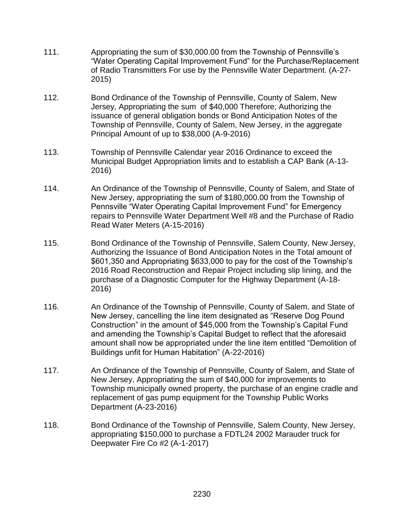- 111. Appropriating the sum of \$30,000.00 from the Township of Pennsville's "Water Operating Capital Improvement Fund" for the Purchase/Replacement of Radio Transmitters For use by the Pennsville Water Department. (A-27- 2015)
- 112. Bond Ordinance of the Township of Pennsville, County of Salem, New Jersey, Appropriating the sum of \$40,000 Therefore; Authorizing the issuance of general obligation bonds or Bond Anticipation Notes of the Township of Pennsville, County of Salem, New Jersey, in the aggregate Principal Amount of up to \$38,000 (A-9-2016)
- 113. Township of Pennsville Calendar year 2016 Ordinance to exceed the Municipal Budget Appropriation limits and to establish a CAP Bank (A-13- 2016)
- 114. An Ordinance of the Township of Pennsville, County of Salem, and State of New Jersey, appropriating the sum of \$180,000.00 from the Township of Pennsville "Water Operating Capital Improvement Fund" for Emergency repairs to Pennsville Water Department Well #8 and the Purchase of Radio Read Water Meters (A-15-2016)
- 115. Bond Ordinance of the Township of Pennsville, Salem County, New Jersey, Authorizing the Issuance of Bond Anticipation Notes in the Total amount of \$601,350 and Appropriating \$633,000 to pay for the cost of the Township's 2016 Road Reconstruction and Repair Project including slip lining, and the purchase of a Diagnostic Computer for the Highway Department (A-18- 2016)
- 116. An Ordinance of the Township of Pennsville, County of Salem, and State of New Jersey, cancelling the line item designated as "Reserve Dog Pound Construction" in the amount of \$45,000 from the Township's Capital Fund and amending the Township's Capital Budget to reflect that the aforesaid amount shall now be appropriated under the line item entitled "Demolition of Buildings unfit for Human Habitation" (A-22-2016)
- 117. An Ordinance of the Township of Pennsville, County of Salem, and State of New Jersey, Appropriating the sum of \$40,000 for improvements to Township municipally owned property, the purchase of an engine cradle and replacement of gas pump equipment for the Township Public Works Department (A-23-2016)
- 118. Bond Ordinance of the Township of Pennsville, Salem County, New Jersey, appropriating \$150,000 to purchase a FDTL24 2002 Marauder truck for Deepwater Fire Co #2 (A-1-2017)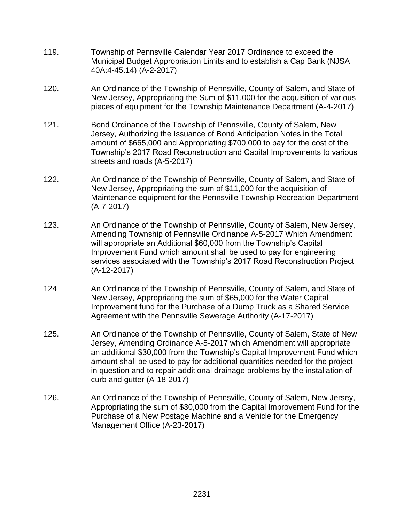- 119. Township of Pennsville Calendar Year 2017 Ordinance to exceed the Municipal Budget Appropriation Limits and to establish a Cap Bank (NJSA 40A:4-45.14) (A-2-2017)
- 120. An Ordinance of the Township of Pennsville, County of Salem, and State of New Jersey, Appropriating the Sum of \$11,000 for the acquisition of various pieces of equipment for the Township Maintenance Department (A-4-2017)
- 121. Bond Ordinance of the Township of Pennsville, County of Salem, New Jersey, Authorizing the Issuance of Bond Anticipation Notes in the Total amount of \$665,000 and Appropriating \$700,000 to pay for the cost of the Township's 2017 Road Reconstruction and Capital Improvements to various streets and roads (A-5-2017)
- 122. An Ordinance of the Township of Pennsville, County of Salem, and State of New Jersey, Appropriating the sum of \$11,000 for the acquisition of Maintenance equipment for the Pennsville Township Recreation Department (A-7-2017)
- 123. An Ordinance of the Township of Pennsville, County of Salem, New Jersey, Amending Township of Pennsville Ordinance A-5-2017 Which Amendment will appropriate an Additional \$60,000 from the Township's Capital Improvement Fund which amount shall be used to pay for engineering services associated with the Township's 2017 Road Reconstruction Project (A-12-2017)
- 124 An Ordinance of the Township of Pennsville, County of Salem, and State of New Jersey, Appropriating the sum of \$65,000 for the Water Capital Improvement fund for the Purchase of a Dump Truck as a Shared Service Agreement with the Pennsville Sewerage Authority (A-17-2017)
- 125. An Ordinance of the Township of Pennsville, County of Salem, State of New Jersey, Amending Ordinance A-5-2017 which Amendment will appropriate an additional \$30,000 from the Township's Capital Improvement Fund which amount shall be used to pay for additional quantities needed for the project in question and to repair additional drainage problems by the installation of curb and gutter (A-18-2017)
- 126. An Ordinance of the Township of Pennsville, County of Salem, New Jersey, Appropriating the sum of \$30,000 from the Capital Improvement Fund for the Purchase of a New Postage Machine and a Vehicle for the Emergency Management Office (A-23-2017)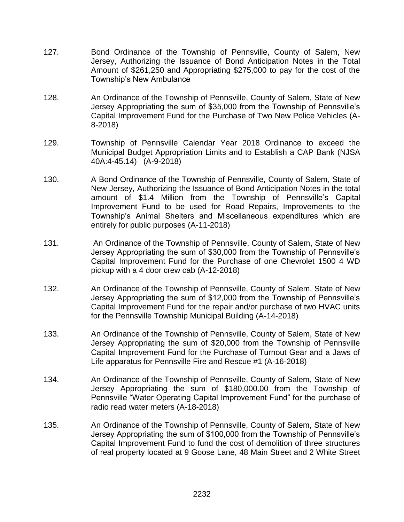- 127. Bond Ordinance of the Township of Pennsville, County of Salem, New Jersey, Authorizing the Issuance of Bond Anticipation Notes in the Total Amount of \$261,250 and Appropriating \$275,000 to pay for the cost of the Township's New Ambulance
- 128. An Ordinance of the Township of Pennsville, County of Salem, State of New Jersey Appropriating the sum of \$35,000 from the Township of Pennsville's Capital Improvement Fund for the Purchase of Two New Police Vehicles (A-8-2018)
- 129. Township of Pennsville Calendar Year 2018 Ordinance to exceed the Municipal Budget Appropriation Limits and to Establish a CAP Bank (NJSA 40A:4-45.14) (A-9-2018)
- 130. A Bond Ordinance of the Township of Pennsville, County of Salem, State of New Jersey, Authorizing the Issuance of Bond Anticipation Notes in the total amount of \$1.4 Million from the Township of Pennsville's Capital Improvement Fund to be used for Road Repairs, Improvements to the Township's Animal Shelters and Miscellaneous expenditures which are entirely for public purposes (A-11-2018)
- 131. An Ordinance of the Township of Pennsville, County of Salem, State of New Jersey Appropriating the sum of \$30,000 from the Township of Pennsville's Capital Improvement Fund for the Purchase of one Chevrolet 1500 4 WD pickup with a 4 door crew cab (A-12-2018)
- 132. An Ordinance of the Township of Pennsville, County of Salem, State of New Jersey Appropriating the sum of \$12,000 from the Township of Pennsville's Capital Improvement Fund for the repair and/or purchase of two HVAC units for the Pennsville Township Municipal Building (A-14-2018)
- 133. An Ordinance of the Township of Pennsville, County of Salem, State of New Jersey Appropriating the sum of \$20,000 from the Township of Pennsville Capital Improvement Fund for the Purchase of Turnout Gear and a Jaws of Life apparatus for Pennsville Fire and Rescue #1 (A-16-2018)
- 134. An Ordinance of the Township of Pennsville, County of Salem, State of New Jersey Appropriating the sum of \$180,000.00 from the Township of Pennsville "Water Operating Capital Improvement Fund" for the purchase of radio read water meters (A-18-2018)
- 135. An Ordinance of the Township of Pennsville, County of Salem, State of New Jersey Appropriating the sum of \$100,000 from the Township of Pennsville's Capital Improvement Fund to fund the cost of demolition of three structures of real property located at 9 Goose Lane, 48 Main Street and 2 White Street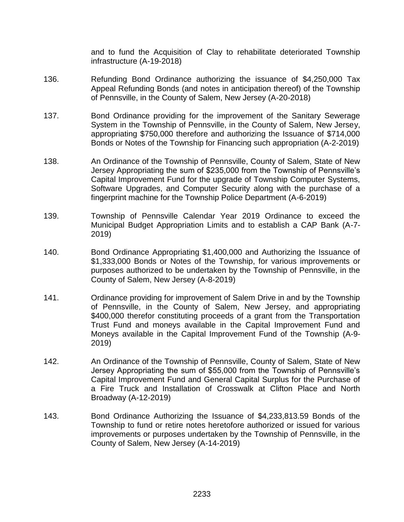and to fund the Acquisition of Clay to rehabilitate deteriorated Township infrastructure (A-19-2018)

- 136. Refunding Bond Ordinance authorizing the issuance of \$4,250,000 Tax Appeal Refunding Bonds (and notes in anticipation thereof) of the Township of Pennsville, in the County of Salem, New Jersey (A-20-2018)
- 137. Bond Ordinance providing for the improvement of the Sanitary Sewerage System in the Township of Pennsville, in the County of Salem, New Jersey, appropriating \$750,000 therefore and authorizing the Issuance of \$714,000 Bonds or Notes of the Township for Financing such appropriation (A-2-2019)
- 138. An Ordinance of the Township of Pennsville, County of Salem, State of New Jersey Appropriating the sum of \$235,000 from the Township of Pennsville's Capital Improvement Fund for the upgrade of Township Computer Systems, Software Upgrades, and Computer Security along with the purchase of a fingerprint machine for the Township Police Department (A-6-2019)
- 139. Township of Pennsville Calendar Year 2019 Ordinance to exceed the Municipal Budget Appropriation Limits and to establish a CAP Bank (A-7- 2019)
- 140. Bond Ordinance Appropriating \$1,400,000 and Authorizing the Issuance of \$1,333,000 Bonds or Notes of the Township, for various improvements or purposes authorized to be undertaken by the Township of Pennsville, in the County of Salem, New Jersey (A-8-2019)
- 141. Ordinance providing for improvement of Salem Drive in and by the Township of Pennsville, in the County of Salem, New Jersey, and appropriating \$400,000 therefor constituting proceeds of a grant from the Transportation Trust Fund and moneys available in the Capital Improvement Fund and Moneys available in the Capital Improvement Fund of the Township (A-9- 2019)
- 142. An Ordinance of the Township of Pennsville, County of Salem, State of New Jersey Appropriating the sum of \$55,000 from the Township of Pennsville's Capital Improvement Fund and General Capital Surplus for the Purchase of a Fire Truck and Installation of Crosswalk at Clifton Place and North Broadway (A-12-2019)
- 143. Bond Ordinance Authorizing the Issuance of \$4,233,813.59 Bonds of the Township to fund or retire notes heretofore authorized or issued for various improvements or purposes undertaken by the Township of Pennsville, in the County of Salem, New Jersey (A-14-2019)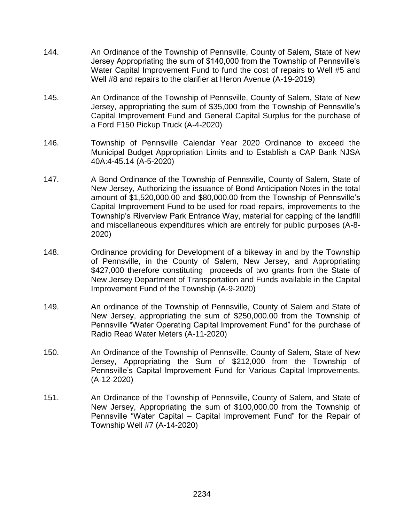- 144. An Ordinance of the Township of Pennsville, County of Salem, State of New Jersey Appropriating the sum of \$140,000 from the Township of Pennsville's Water Capital Improvement Fund to fund the cost of repairs to Well #5 and Well #8 and repairs to the clarifier at Heron Avenue (A-19-2019)
- 145. An Ordinance of the Township of Pennsville, County of Salem, State of New Jersey, appropriating the sum of \$35,000 from the Township of Pennsville's Capital Improvement Fund and General Capital Surplus for the purchase of a Ford F150 Pickup Truck (A-4-2020)
- 146. Township of Pennsville Calendar Year 2020 Ordinance to exceed the Municipal Budget Appropriation Limits and to Establish a CAP Bank NJSA 40A:4-45.14 (A-5-2020)
- 147. A Bond Ordinance of the Township of Pennsville, County of Salem, State of New Jersey, Authorizing the issuance of Bond Anticipation Notes in the total amount of \$1,520,000.00 and \$80,000.00 from the Township of Pennsville's Capital Improvement Fund to be used for road repairs, improvements to the Township's Riverview Park Entrance Way, material for capping of the landfill and miscellaneous expenditures which are entirely for public purposes (A-8- 2020)
- 148. Ordinance providing for Development of a bikeway in and by the Township of Pennsville, in the County of Salem, New Jersey, and Appropriating \$427,000 therefore constituting proceeds of two grants from the State of New Jersey Department of Transportation and Funds available in the Capital Improvement Fund of the Township (A-9-2020)
- 149. An ordinance of the Township of Pennsville, County of Salem and State of New Jersey, appropriating the sum of \$250,000.00 from the Township of Pennsville "Water Operating Capital Improvement Fund" for the purchase of Radio Read Water Meters (A-11-2020)
- 150. An Ordinance of the Township of Pennsville, County of Salem, State of New Jersey, Appropriating the Sum of \$212,000 from the Township of Pennsville's Capital Improvement Fund for Various Capital Improvements. (A-12-2020)
- 151. An Ordinance of the Township of Pennsville, County of Salem, and State of New Jersey, Appropriating the sum of \$100,000.00 from the Township of Pennsville "Water Capital – Capital Improvement Fund" for the Repair of Township Well #7 (A-14-2020)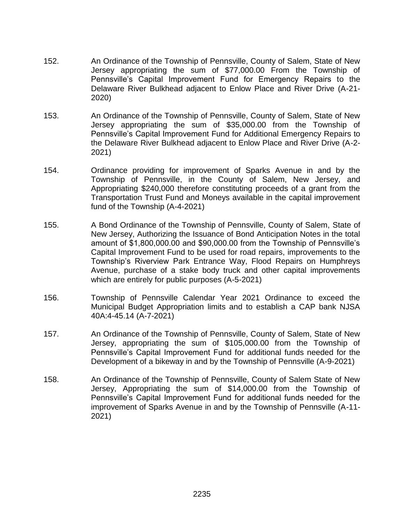- 152. An Ordinance of the Township of Pennsville, County of Salem, State of New Jersey appropriating the sum of \$77,000.00 From the Township of Pennsville's Capital Improvement Fund for Emergency Repairs to the Delaware River Bulkhead adjacent to Enlow Place and River Drive (A-21- 2020)
- 153. An Ordinance of the Township of Pennsville, County of Salem, State of New Jersey appropriating the sum of \$35,000.00 from the Township of Pennsville's Capital Improvement Fund for Additional Emergency Repairs to the Delaware River Bulkhead adjacent to Enlow Place and River Drive (A-2- 2021)
- 154. Ordinance providing for improvement of Sparks Avenue in and by the Township of Pennsville, in the County of Salem, New Jersey, and Appropriating \$240,000 therefore constituting proceeds of a grant from the Transportation Trust Fund and Moneys available in the capital improvement fund of the Township (A-4-2021)
- 155. A Bond Ordinance of the Township of Pennsville, County of Salem, State of New Jersey, Authorizing the Issuance of Bond Anticipation Notes in the total amount of \$1,800,000.00 and \$90,000.00 from the Township of Pennsville's Capital Improvement Fund to be used for road repairs, improvements to the Township's Riverview Park Entrance Way, Flood Repairs on Humphreys Avenue, purchase of a stake body truck and other capital improvements which are entirely for public purposes (A-5-2021)
- 156. Township of Pennsville Calendar Year 2021 Ordinance to exceed the Municipal Budget Appropriation limits and to establish a CAP bank NJSA 40A:4-45.14 (A-7-2021)
- 157. An Ordinance of the Township of Pennsville, County of Salem, State of New Jersey, appropriating the sum of \$105,000.00 from the Township of Pennsville's Capital Improvement Fund for additional funds needed for the Development of a bikeway in and by the Township of Pennsville (A-9-2021)
- 158. An Ordinance of the Township of Pennsville, County of Salem State of New Jersey, Appropriating the sum of \$14,000.00 from the Township of Pennsville's Capital Improvement Fund for additional funds needed for the improvement of Sparks Avenue in and by the Township of Pennsville (A-11- 2021)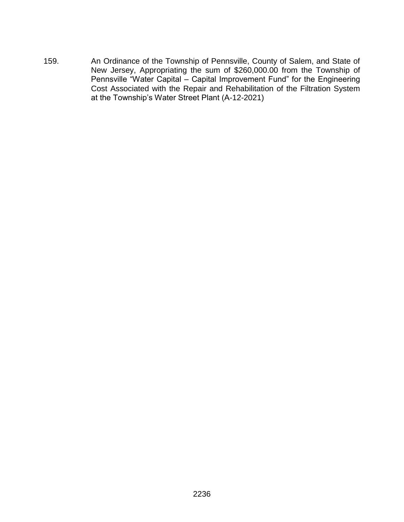159. An Ordinance of the Township of Pennsville, County of Salem, and State of New Jersey, Appropriating the sum of \$260,000.00 from the Township of Pennsville "Water Capital – Capital Improvement Fund" for the Engineering Cost Associated with the Repair and Rehabilitation of the Filtration System at the Township's Water Street Plant (A-12-2021)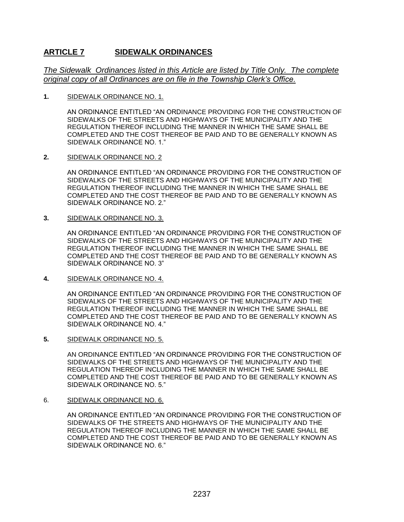## **ARTICLE 7 SIDEWALK ORDINANCES**

*The Sidewalk Ordinances listed in this Article are listed by Title Only. The complete original copy of all Ordinances are on file in the Township Clerk's Office.*

**1.** SIDEWALK ORDINANCE NO. 1.

AN ORDINANCE ENTITLED "AN ORDINANCE PROVIDING FOR THE CONSTRUCTION OF SIDEWALKS OF THE STREETS AND HIGHWAYS OF THE MUNICIPALITY AND THE REGULATION THEREOF INCLUDING THE MANNER IN WHICH THE SAME SHALL BE COMPLETED AND THE COST THEREOF BE PAID AND TO BE GENERALLY KNOWN AS SIDEWALK ORDINANCE NO. 1."

**2.** SIDEWALK ORDINANCE NO. 2

AN ORDINANCE ENTITLED "AN ORDINANCE PROVIDING FOR THE CONSTRUCTION OF SIDEWALKS OF THE STREETS AND HIGHWAYS OF THE MUNICIPALITY AND THE REGULATION THEREOF INCLUDING THE MANNER IN WHICH THE SAME SHALL BE COMPLETED AND THE COST THEREOF BE PAID AND TO BE GENERALLY KNOWN AS SIDEWALK ORDINANCE NO. 2."

**3.** SIDEWALK ORDINANCE NO. 3.

AN ORDINANCE ENTITLED "AN ORDINANCE PROVIDING FOR THE CONSTRUCTION OF SIDEWALKS OF THE STREETS AND HIGHWAYS OF THE MUNICIPALITY AND THE REGULATION THEREOF INCLUDING THE MANNER IN WHICH THE SAME SHALL BE COMPLETED AND THE COST THEREOF BE PAID AND TO BE GENERALLY KNOWN AS SIDEWALK ORDINANCE NO. 3"

**4.** SIDEWALK ORDINANCE NO. 4.

AN ORDINANCE ENTITLED "AN ORDINANCE PROVIDING FOR THE CONSTRUCTION OF SIDEWALKS OF THE STREETS AND HIGHWAYS OF THE MUNICIPALITY AND THE REGULATION THEREOF INCLUDING THE MANNER IN WHICH THE SAME SHALL BE COMPLETED AND THE COST THEREOF BE PAID AND TO BE GENERALLY KNOWN AS SIDEWALK ORDINANCE NO. 4."

**5.** SIDEWALK ORDINANCE NO. 5.

AN ORDINANCE ENTITLED "AN ORDINANCE PROVIDING FOR THE CONSTRUCTION OF SIDEWALKS OF THE STREETS AND HIGHWAYS OF THE MUNICIPALITY AND THE REGULATION THEREOF INCLUDING THE MANNER IN WHICH THE SAME SHALL BE COMPLETED AND THE COST THEREOF BE PAID AND TO BE GENERALLY KNOWN AS SIDEWALK ORDINANCE NO. 5."

6. SIDEWALK ORDINANCE NO. 6.

AN ORDINANCE ENTITLED "AN ORDINANCE PROVIDING FOR THE CONSTRUCTION OF SIDEWALKS OF THE STREETS AND HIGHWAYS OF THE MUNICIPALITY AND THE REGULATION THEREOF INCLUDING THE MANNER IN WHICH THE SAME SHALL BE COMPLETED AND THE COST THEREOF BE PAID AND TO BE GENERALLY KNOWN AS SIDEWALK ORDINANCE NO. 6."